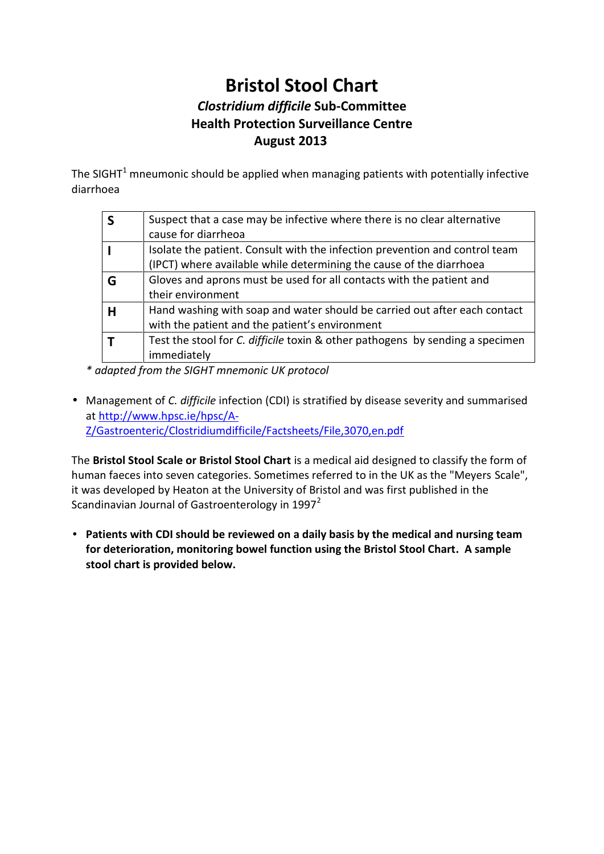## Bristol Stool Chart Clostridium Solui-Committee Health Protection Surveillance Centre August 2013

The SIGHT umonic should be applied when managing patients diarrhoea

- \* adapftreod the SIGHT mnemonic UK protocol
- · ManagemeCnt obifficition (CDI) is stratified by disease seve athttp://www.eh/ $p$ sci/A [Z/Gastroenteric/Clostridiumdifficile/F](http://www.hpsc.ie/hpsc/A-Z/Gastroenteric/Clostridiumdifficile/Factsheets/File,3070,en.pdf)actsheets/File, 3070, en.

Th Bristol Stool Scale or BisisatonheSotiocoall Cantardesigned to classif human faeces into seven categories. Sometimes  $\mathcal{S}$ ed alre "e,d to i it was developed by Heaton at the University of Bristol and w Scandinavian Journal of Gastroenterology in 1997

· Patients with CDI should be reviewed on a daily basis by th for deterioration, montowel function using the Briston blostool C stool chart is provided below.